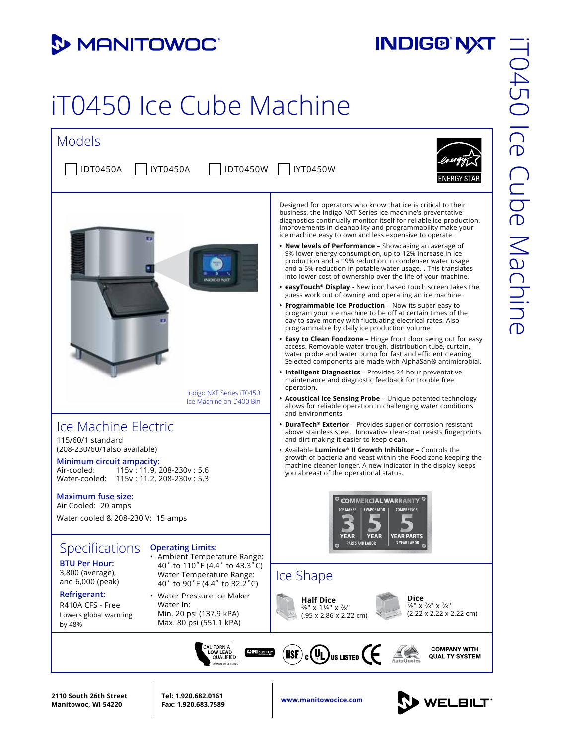## **3 MANITOWOC**

## **INDIG®'NXT**

## iT0450 Ice Cube Machine



**www.manitowocice.com 2110 South 26th Street Manitowoc, WI 54220**

**Tel: 1.920.682.0161 Fax: 1.920.683.7589**